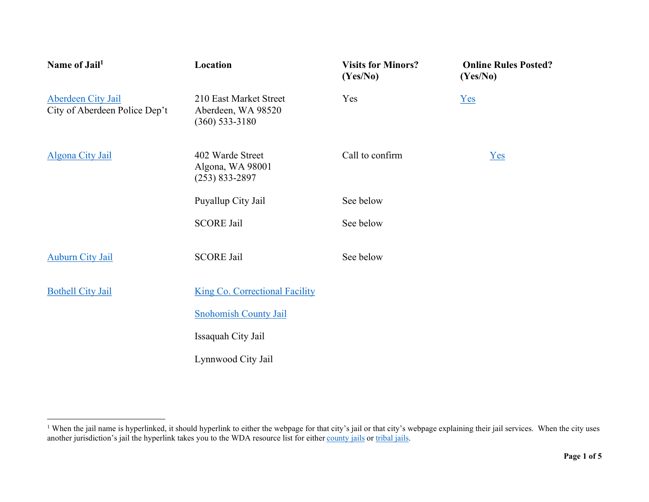| Name of Jail <sup>1</sup>                           | Location                                                         | <b>Visits for Minors?</b><br>(Yes/No) | <b>Online Rules Posted?</b><br>(Yes/No) |
|-----------------------------------------------------|------------------------------------------------------------------|---------------------------------------|-----------------------------------------|
| Aberdeen City Jail<br>City of Aberdeen Police Dep't | 210 East Market Street<br>Aberdeen, WA 98520<br>$(360)$ 533-3180 | Yes                                   | Yes                                     |
| Algona City Jail                                    | 402 Warde Street<br>Algona, WA 98001<br>$(253) 833 - 2897$       | Call to confirm                       | $Yes$                                   |
|                                                     | Puyallup City Jail                                               | See below                             |                                         |
|                                                     | <b>SCORE Jail</b>                                                | See below                             |                                         |
| <b>Auburn City Jail</b>                             | <b>SCORE Jail</b>                                                | See below                             |                                         |
| <b>Bothell City Jail</b>                            | <b>King Co. Correctional Facility</b>                            |                                       |                                         |
|                                                     | <b>Snohomish County Jail</b>                                     |                                       |                                         |
|                                                     | Issaquah City Jail                                               |                                       |                                         |
|                                                     | Lynnwood City Jail                                               |                                       |                                         |

<sup>&</sup>lt;sup>1</sup> When the jail name is hyperlinked, it should hyperlink to either the webpage for that city's jail or that city's webpage explaining their jail services. When the city uses another jurisdiction's jail the hyperlink takes you to the WDA resource list for either county jails or tribal jails.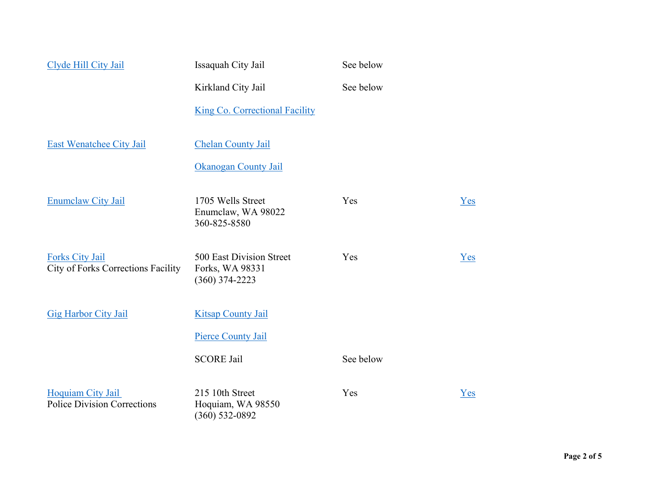| Clyde Hill City Jail                                         | Issaquah City Jail                                              | See below |     |
|--------------------------------------------------------------|-----------------------------------------------------------------|-----------|-----|
|                                                              | Kirkland City Jail                                              | See below |     |
|                                                              | <b>King Co. Correctional Facility</b>                           |           |     |
| <b>East Wenatchee City Jail</b>                              | <b>Chelan County Jail</b>                                       |           |     |
|                                                              | Okanogan County Jail                                            |           |     |
| <b>Enumclaw City Jail</b>                                    | 1705 Wells Street<br>Enumclaw, WA 98022<br>360-825-8580         | Yes       | Yes |
| <b>Forks City Jail</b><br>City of Forks Corrections Facility | 500 East Division Street<br>Forks, WA 98331<br>$(360)$ 374-2223 | Yes       | Yes |
| <b>Gig Harbor City Jail</b>                                  | <b>Kitsap County Jail</b>                                       |           |     |
|                                                              | <b>Pierce County Jail</b>                                       |           |     |
|                                                              | <b>SCORE Jail</b>                                               | See below |     |
| Hoquiam City Jail<br><b>Police Division Corrections</b>      | 215 10th Street<br>Hoquiam, WA 98550<br>$(360) 532 - 0892$      | Yes       | Yes |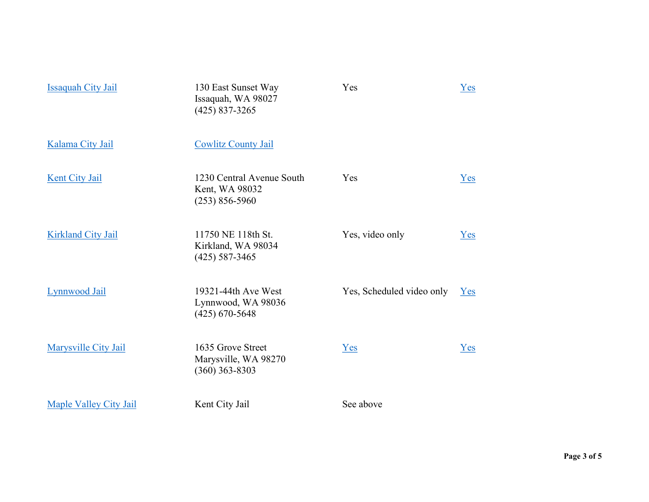| <b>Issaquah City Jail</b>     | 130 East Sunset Way<br>Issaquah, WA 98027<br>$(425)$ 837-3265     | Yes                       | Yes |
|-------------------------------|-------------------------------------------------------------------|---------------------------|-----|
| Kalama City Jail              | <b>Cowlitz County Jail</b>                                        |                           |     |
| <b>Kent City Jail</b>         | 1230 Central Avenue South<br>Kent, WA 98032<br>$(253) 856 - 5960$ | Yes                       | Yes |
| <b>Kirkland City Jail</b>     | 11750 NE 118th St.<br>Kirkland, WA 98034<br>$(425)$ 587-3465      | Yes, video only           | Yes |
| Lynnwood Jail                 | 19321-44th Ave West<br>Lynnwood, WA 98036<br>$(425) 670 - 5648$   | Yes, Scheduled video only | Yes |
| Marysville City Jail          | 1635 Grove Street<br>Marysville, WA 98270<br>$(360)$ 363-8303     | Yes                       | Yes |
| <b>Maple Valley City Jail</b> | Kent City Jail                                                    | See above                 |     |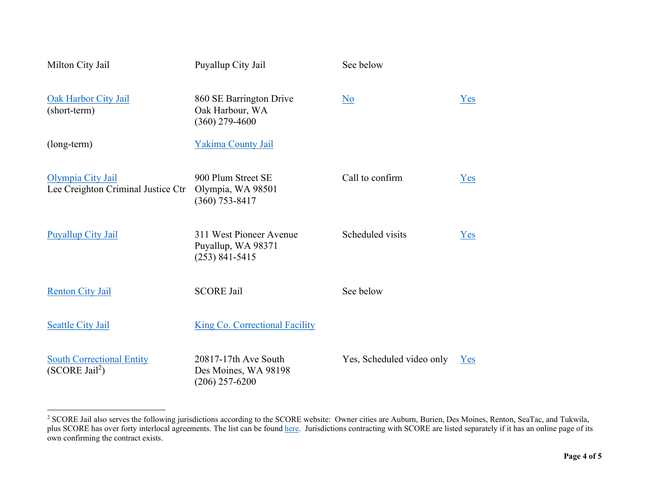| Milton City Jail                                                 | Puyallup City Jail                                                  | See below                 |     |
|------------------------------------------------------------------|---------------------------------------------------------------------|---------------------------|-----|
| <b>Oak Harbor City Jail</b><br>(short-term)                      | 860 SE Barrington Drive<br>Oak Harbour, WA<br>$(360)$ 279-4600      | No                        | Yes |
| (long-term)                                                      | Yakima County Jail                                                  |                           |     |
| Olympia City Jail<br>Lee Creighton Criminal Justice Ctr          | 900 Plum Street SE<br>Olympia, WA 98501<br>$(360)$ 753-8417         | Call to confirm           | Yes |
| <b>Puyallup City Jail</b>                                        | 311 West Pioneer Avenue<br>Puyallup, WA 98371<br>$(253) 841 - 5415$ | Scheduled visits          | Yes |
| <b>Renton City Jail</b>                                          | <b>SCORE Jail</b>                                                   | See below                 |     |
| <b>Seattle City Jail</b>                                         | <b>King Co. Correctional Facility</b>                               |                           |     |
| <b>South Correctional Entity</b><br>$(SCORE$ Jail <sup>2</sup> ) | 20817-17th Ave South<br>Des Moines, WA 98198<br>$(206)$ 257-6200    | Yes, Scheduled video only | Yes |

<sup>&</sup>lt;sup>2</sup> SCORE Jail also serves the following jurisdictions according to the SCORE website: Owner cities are Auburn, Burien, Des Moines, Renton, SeaTac, and Tukwila, plus SCORE has over forty interlocal agreements. The list can be found here. Jurisdictions contracting with SCORE are listed separately if it has an online page of its own confirming the contract exists.